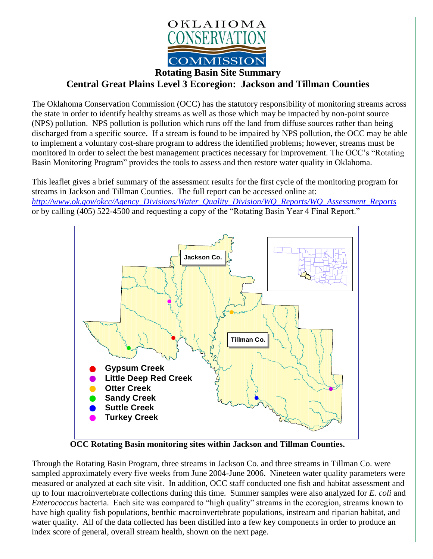

## **Central Great Plains Level 3 Ecoregion: Jackson and Tillman Counties**

The Oklahoma Conservation Commission (OCC) has the statutory responsibility of monitoring streams across the state in order to identify healthy streams as well as those which may be impacted by non-point source (NPS) pollution. NPS pollution is pollution which runs off the land from diffuse sources rather than being discharged from a specific source. If a stream is found to be impaired by NPS pollution, the OCC may be able to implement a voluntary cost-share program to address the identified problems; however, streams must be monitored in order to select the best management practices necessary for improvement. The OCC's "Rotating Basin Monitoring Program" provides the tools to assess and then restore water quality in Oklahoma.

This leaflet gives a brief summary of the assessment results for the first cycle of the monitoring program for streams in Jackson and Tillman Counties. The full report can be accessed online at: *[http://www.ok.gov/okcc/Agency\\_Divisions/Water\\_Quality\\_Division/WQ\\_Reports/WQ\\_Assessment\\_Reports](http://www.ok.gov/okcc/Agency_Divisions/Water_Quality_Division/WQ_Reports/WQ_Assessment_Reports)* or by calling (405) 522-4500 and requesting a copy of the "Rotating Basin Year 4 Final Report."



**OCC Rotating Basin monitoring sites within Jackson and Tillman Counties.**

Through the Rotating Basin Program, three streams in Jackson Co. and three streams in Tillman Co. were sampled approximately every five weeks from June 2004-June 2006. Nineteen water quality parameters were measured or analyzed at each site visit. In addition, OCC staff conducted one fish and habitat assessment and up to four macroinvertebrate collections during this time. Summer samples were also analyzed for *E. coli* and *Enterococcus* bacteria. Each site was compared to "high quality" streams in the ecoregion, streams known to have high quality fish populations, benthic macroinvertebrate populations, instream and riparian habitat, and water quality. All of the data collected has been distilled into a few key components in order to produce an index score of general, overall stream health, shown on the next page.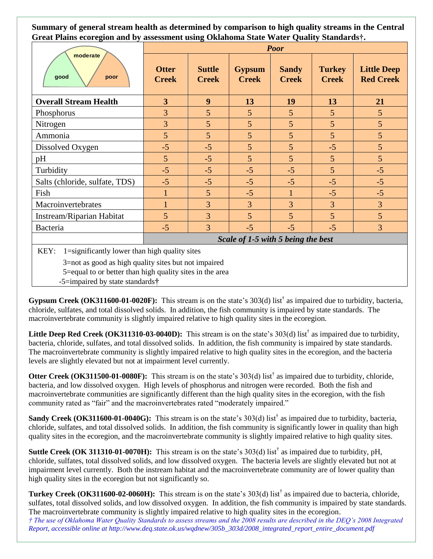**Summary of general stream health as determined by comparison to high quality streams in the Central Great Plains ecoregion and by assessment using Oklahoma State Water Quality Standards†.**

| moderate<br>good<br>poor                                                                                                                                                                                                                                                                           | <b>Poor</b>                        |                               |                               |                              |                               |                                        |
|----------------------------------------------------------------------------------------------------------------------------------------------------------------------------------------------------------------------------------------------------------------------------------------------------|------------------------------------|-------------------------------|-------------------------------|------------------------------|-------------------------------|----------------------------------------|
|                                                                                                                                                                                                                                                                                                    | <b>Otter</b><br><b>Creek</b>       | <b>Suttle</b><br><b>Creek</b> | <b>Gypsum</b><br><b>Creek</b> | <b>Sandy</b><br><b>Creek</b> | <b>Turkey</b><br><b>Creek</b> | <b>Little Deep</b><br><b>Red Creek</b> |
| <b>Overall Stream Health</b>                                                                                                                                                                                                                                                                       | $\overline{3}$                     | 9                             | 13                            | 19                           | 13                            | 21                                     |
| Phosphorus                                                                                                                                                                                                                                                                                         | $\overline{3}$                     | 5                             | $\overline{5}$                | 5                            | $\overline{5}$                | $\overline{5}$                         |
| Nitrogen                                                                                                                                                                                                                                                                                           | $\overline{3}$                     | 5                             | 5                             | 5                            | $\overline{5}$                | 5                                      |
| Ammonia                                                                                                                                                                                                                                                                                            | 5 <sup>5</sup>                     | $\overline{5}$                | $\overline{5}$                | $\overline{5}$               | $5\overline{)}$               | 5                                      |
| Dissolved Oxygen                                                                                                                                                                                                                                                                                   | $-5$                               | $-5$                          | $\overline{5}$                | 5                            | $-5$                          | 5                                      |
| pH                                                                                                                                                                                                                                                                                                 | $5\overline{)}$                    | $-5$                          | $\overline{5}$                | $\overline{5}$               | $\overline{5}$                | 5                                      |
| Turbidity                                                                                                                                                                                                                                                                                          | $-5$                               | $-5$                          | $-5$                          | $-5$                         | 5                             | $-5$                                   |
| Salts (chloride, sulfate, TDS)                                                                                                                                                                                                                                                                     | $-5$                               | $-5$                          | $-5$                          | $-5$                         | $-5$                          | $-5$                                   |
| Fish                                                                                                                                                                                                                                                                                               |                                    | 5                             | $-5$                          | 1                            | $-5$                          | $-5$                                   |
| Macroinvertebrates                                                                                                                                                                                                                                                                                 |                                    | $\overline{3}$                | $\overline{3}$                | $\overline{3}$               | $\overline{3}$                | $\overline{3}$                         |
| Instream/Riparian Habitat                                                                                                                                                                                                                                                                          | 5                                  | $\overline{3}$                | $\overline{5}$                | 5 <sup>5</sup>               | 5 <sup>5</sup>                | $5\overline{)}$                        |
| Bacteria                                                                                                                                                                                                                                                                                           | $-5$                               | $\overline{3}$                | $-5$                          | $-5$                         | $-5$                          | $\overline{3}$                         |
|                                                                                                                                                                                                                                                                                                    | Scale of 1-5 with 5 being the best |                               |                               |                              |                               |                                        |
| 1=significantly lower than high quality sites<br>KEY:<br>$\alpha$ and $\alpha$ and $\alpha$ are the set of the set of the set of the set of the set of the set of the set of the set of the set of the set of the set of the set of the set of the set of the set of the set of the set of the set |                                    |                               |                               |                              |                               |                                        |

3=not as good as high quality sites but not impaired

5=equal to or better than high quality sites in the area

-5=impaired by state standards**†**

**Gypsum Creek (OK311600-01-0020F):** This stream is on the state's 303(d) list† as impaired due to turbidity, bacteria, chloride, sulfates, and total dissolved solids. In addition, the fish community is impaired by state standards. The macroinvertebrate community is slightly impaired relative to high quality sites in the ecoregion.

**Little Deep Red Creek (OK311310-03-0040D):** This stream is on the state's  $303(d)$  list<sup>†</sup> as impaired due to turbidity, bacteria, chloride, sulfates, and total dissolved solids. In addition, the fish community is impaired by state standards. The macroinvertebrate community is slightly impaired relative to high quality sites in the ecoregion, and the bacteria levels are slightly elevated but not at impairment level currently.

**Otter Creek (OK311500-01-0080F):** This stream is on the state's  $303(d)$  list<sup>†</sup> as impaired due to turbidity, chloride, bacteria, and low dissolved oxygen. High levels of phosphorus and nitrogen were recorded. Both the fish and macroinvertebrate communities are significantly different than the high quality sites in the ecoregion, with the fish community rated as "fair" and the macroinvertebrates rated "moderately impaired."

**Sandy Creek (OK311600-01-0040G):** This stream is on the state's 303(d) list<sup>†</sup> as impaired due to turbidity, bacteria, chloride, sulfates, and total dissolved solids. In addition, the fish community is significantly lower in quality than high quality sites in the ecoregion, and the macroinvertebrate community is slightly impaired relative to high quality sites.

**Suttle Creek (OK 311310-01-0070H):** This stream is on the state's 303(d) list<sup>†</sup> as impaired due to turbidity, pH, chloride, sulfates, total dissolved solids, and low dissolved oxygen. The bacteria levels are slightly elevated but not at impairment level currently. Both the instream habitat and the macroinvertebrate community are of lower quality than high quality sites in the ecoregion but not significantly so.

**Turkey Creek (OK311600-02-0060H):** This stream is on the state's 303(d) list† as impaired due to bacteria, chloride, sulfates, total dissolved solids, and low dissolved oxygen. In addition, the fish community is impaired by state standards. The macroinvertebrate community is slightly impaired relative to high quality sites in the ecoregion. *† The use of Oklahoma Water Quality Standards to assess streams and the 2008 results are described in the DEQ's 2008 Integrated Report, accessible online at http://www.deq.state.ok.us/wqdnew/305b\_303d/2008\_integrated\_report\_entire\_document.pdf*